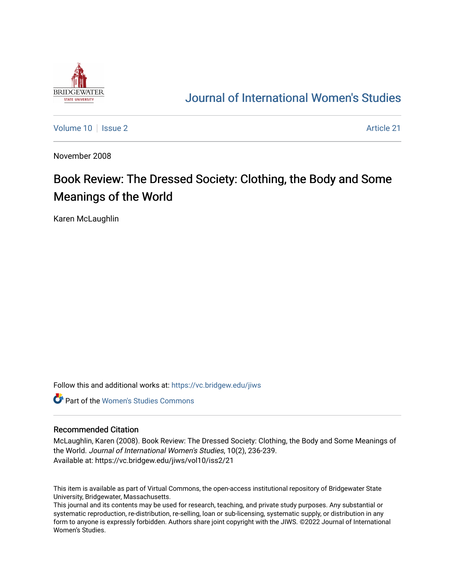

## [Journal of International Women's Studies](https://vc.bridgew.edu/jiws)

[Volume 10](https://vc.bridgew.edu/jiws/vol10) | [Issue 2](https://vc.bridgew.edu/jiws/vol10/iss2) Article 21

November 2008

# Book Review: The Dressed Society: Clothing, the Body and Some Meanings of the World

Karen McLaughlin

Follow this and additional works at: [https://vc.bridgew.edu/jiws](https://vc.bridgew.edu/jiws?utm_source=vc.bridgew.edu%2Fjiws%2Fvol10%2Fiss2%2F21&utm_medium=PDF&utm_campaign=PDFCoverPages)

**C** Part of the Women's Studies Commons

#### Recommended Citation

McLaughlin, Karen (2008). Book Review: The Dressed Society: Clothing, the Body and Some Meanings of the World. Journal of International Women's Studies, 10(2), 236-239. Available at: https://vc.bridgew.edu/jiws/vol10/iss2/21

This item is available as part of Virtual Commons, the open-access institutional repository of Bridgewater State University, Bridgewater, Massachusetts.

This journal and its contents may be used for research, teaching, and private study purposes. Any substantial or systematic reproduction, re-distribution, re-selling, loan or sub-licensing, systematic supply, or distribution in any form to anyone is expressly forbidden. Authors share joint copyright with the JIWS. ©2022 Journal of International Women's Studies.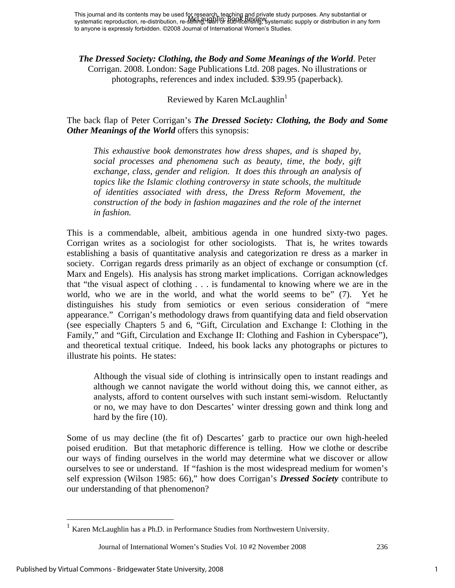*The Dressed Society: Clothing, the Body and Some Meanings of the World*. Peter Corrigan. 2008. London: Sage Publications Ltd. 208 pages. No illustrations or photographs, references and index included. \$39.95 (paperback).

### Reviewed by Karen McLaughlin<sup>1</sup>

The back flap of Peter Corrigan's *The Dressed Society: Clothing, the Body and Some Other Meanings of the World* offers this synopsis:

*This exhaustive book demonstrates how dress shapes, and is shaped by, social processes and phenomena such as beauty, time, the body, gift exchange, class, gender and religion. It does this through an analysis of topics like the Islamic clothing controversy in state schools, the multitude of identities associated with dress, the Dress Reform Movement, the construction of the body in fashion magazines and the role of the internet in fashion.* 

This is a commendable, albeit, ambitious agenda in one hundred sixty-two pages. Corrigan writes as a sociologist for other sociologists. That is, he writes towards establishing a basis of quantitative analysis and categorization re dress as a marker in society. Corrigan regards dress primarily as an object of exchange or consumption (cf. Marx and Engels). His analysis has strong market implications. Corrigan acknowledges that "the visual aspect of clothing . . . is fundamental to knowing where we are in the world, who we are in the world, and what the world seems to be" (7). Yet he distinguishes his study from semiotics or even serious consideration of "mere appearance." Corrigan's methodology draws from quantifying data and field observation (see especially Chapters 5 and 6, "Gift, Circulation and Exchange I: Clothing in the Family," and "Gift, Circulation and Exchange II: Clothing and Fashion in Cyberspace"), and theoretical textual critique. Indeed, his book lacks any photographs or pictures to illustrate his points. He states:

Although the visual side of clothing is intrinsically open to instant readings and although we cannot navigate the world without doing this, we cannot either, as analysts, afford to content ourselves with such instant semi-wisdom. Reluctantly or no, we may have to don Descartes' winter dressing gown and think long and hard by the fire (10).

Some of us may decline (the fit of) Descartes' garb to practice our own high-heeled poised erudition. But that metaphoric difference is telling. How we clothe or describe our ways of finding ourselves in the world may determine what we discover or allow ourselves to see or understand. If "fashion is the most widespread medium for women's self expression (Wilson 1985: 66)," how does Corrigan's *Dressed Society* contribute to our understanding of that phenomenon?

Journal of International Women's Studies Vol. 10 #2 November 2008 236

<u>.</u>

<sup>&</sup>lt;sup>1</sup> Karen McLaughlin has a Ph.D. in Performance Studies from Northwestern University.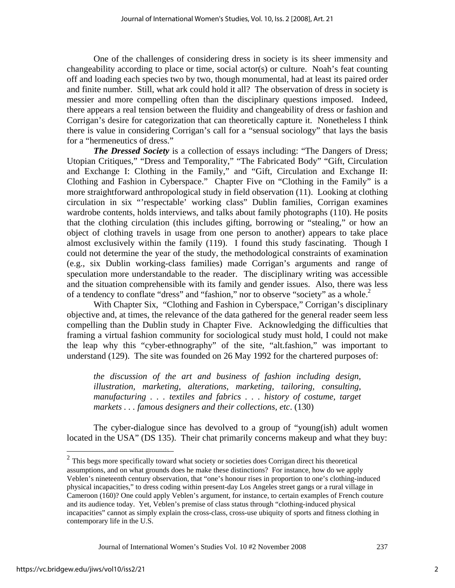One of the challenges of considering dress in society is its sheer immensity and changeability according to place or time, social actor(s) or culture. Noah's feat counting off and loading each species two by two, though monumental, had at least its paired order and finite number. Still, what ark could hold it all? The observation of dress in society is messier and more compelling often than the disciplinary questions imposed. Indeed, there appears a real tension between the fluidity and changeability of dress or fashion and Corrigan's desire for categorization that can theoretically capture it. Nonetheless I think there is value in considering Corrigan's call for a "sensual sociology" that lays the basis for a "hermeneutics of dress."

*The Dressed Society* is a collection of essays including: "The Dangers of Dress; Utopian Critiques," "Dress and Temporality," "The Fabricated Body" "Gift, Circulation and Exchange I: Clothing in the Family," and "Gift, Circulation and Exchange II: Clothing and Fashion in Cyberspace." Chapter Five on "Clothing in the Family" is a more straightforward anthropological study in field observation (11). Looking at clothing circulation in six "'respectable' working class" Dublin families, Corrigan examines wardrobe contents, holds interviews, and talks about family photographs (110). He posits that the clothing circulation (this includes gifting, borrowing or "stealing," or how an object of clothing travels in usage from one person to another) appears to take place almost exclusively within the family (119). I found this study fascinating. Though I could not determine the year of the study, the methodological constraints of examination (e.g., six Dublin working-class families) made Corrigan's arguments and range of speculation more understandable to the reader. The disciplinary writing was accessible and the situation comprehensible with its family and gender issues. Also, there was less of a tendency to conflate "dress" and "fashion," nor to observe "society" as a whole.<sup>2</sup>

With Chapter Six, "Clothing and Fashion in Cyberspace," Corrigan's disciplinary objective and, at times, the relevance of the data gathered for the general reader seem less compelling than the Dublin study in Chapter Five. Acknowledging the difficulties that framing a virtual fashion community for sociological study must hold, I could not make the leap why this "cyber-ethnography" of the site, "alt.fashion," was important to understand (129). The site was founded on 26 May 1992 for the chartered purposes of:

*the discussion of the art and business of fashion including design, illustration, marketing, alterations, marketing, tailoring, consulting, manufacturing . . . textiles and fabrics . . . history of costume, target markets . . . famous designers and their collections, etc*. (130)

The cyber-dialogue since has devolved to a group of "young(ish) adult women located in the USA" (DS 135). Their chat primarily concerns makeup and what they buy:

Journal of International Women's Studies Vol. 10 #2 November 2008 237

 $\overline{a}$ 

 $2$  This begs more specifically toward what society or societies does Corrigan direct his theoretical assumptions, and on what grounds does he make these distinctions? For instance, how do we apply Veblen's nineteenth century observation, that "one's honour rises in proportion to one's clothing-induced physical incapacities," to dress coding within present-day Los Angeles street gangs or a rural village in Cameroon (160)? One could apply Veblen's argument, for instance, to certain examples of French couture and its audience today. Yet, Veblen's premise of class status through "clothing-induced physical incapacities" cannot as simply explain the cross-class, cross-use ubiquity of sports and fitness clothing in contemporary life in the U.S.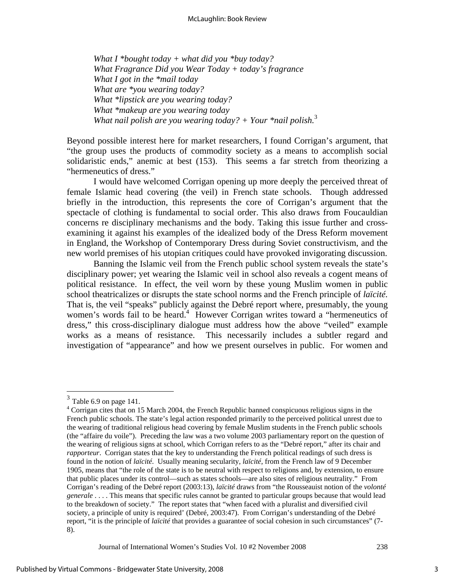*What I \*bought today + what did you \*buy today? What Fragrance Did you Wear Today + today's fragrance What I got in the \*mail today What are \*you wearing today? What \*lipstick are you wearing today? What \*makeup are you wearing today What nail polish are you wearing today? + Your \*nail polish.*<sup>3</sup>

Beyond possible interest here for market researchers, I found Corrigan's argument, that "the group uses the products of commodity society as a means to accomplish social solidaristic ends," anemic at best (153). This seems a far stretch from theorizing a "hermeneutics of dress."

 I would have welcomed Corrigan opening up more deeply the perceived threat of female Islamic head covering (the veil) in French state schools. Though addressed briefly in the introduction, this represents the core of Corrigan's argument that the spectacle of clothing is fundamental to social order. This also draws from Foucauldian concerns re disciplinary mechanisms and the body. Taking this issue further and crossexamining it against his examples of the idealized body of the Dress Reform movement in England, the Workshop of Contemporary Dress during Soviet constructivism, and the new world premises of his utopian critiques could have provoked invigorating discussion.

 Banning the Islamic veil from the French public school system reveals the state's disciplinary power; yet wearing the Islamic veil in school also reveals a cogent means of political resistance. In effect, the veil worn by these young Muslim women in public school theatricalizes or disrupts the state school norms and the French principle of *laïcité.* That is, the veil "speaks" publicly against the Debré report where, presumably, the young women's words fail to be heard.<sup>4</sup> However Corrigan writes toward a "hermeneutics of dress," this cross-disciplinary dialogue must address how the above "veiled" example works as a means of resistance. This necessarily includes a subtler regard and investigation of "appearance" and how we present ourselves in public. For women and

 $\overline{a}$ 

Journal of International Women's Studies Vol. 10 #2 November 2008 238

 $3$  Table 6.9 on page 141.

<sup>&</sup>lt;sup>4</sup> Corrigan cites that on 15 March 2004, the French Republic banned conspicuous religious signs in the French public schools. The state's legal action responded primarily to the perceived political unrest due to the wearing of traditional religious head covering by female Muslim students in the French public schools (the "affaire du voile"). Preceding the law was a two volume 2003 parliamentary report on the question of the wearing of religious signs at school, which Corrigan refers to as the "Debré report," after its chair and *rapporteur*. Corrigan states that the key to understanding the French political readings of such dress is found in the notion of *laïcité*. Usually meaning secularity, *laïcité*, from the French law of 9 December 1905, means that "the role of the state is to be neutral with respect to religions and, by extension, to ensure that public places under its control—such as states schools—are also sites of religious neutrality." From Corrigan's reading of the Debré report (2003:13), *laïcité* draws from "the Rousseauist notion of the *volonté generale* . . . . This means that specific rules cannot be granted to particular groups because that would lead to the breakdown of society." The report states that "when faced with a pluralist and diversified civil society, a principle of unity is required' (Debré, 2003:47). From Corrigan's understanding of the Debré report, "it is the principle of *laïcité* that provides a guarantee of social cohesion in such circumstances" (7- 8).